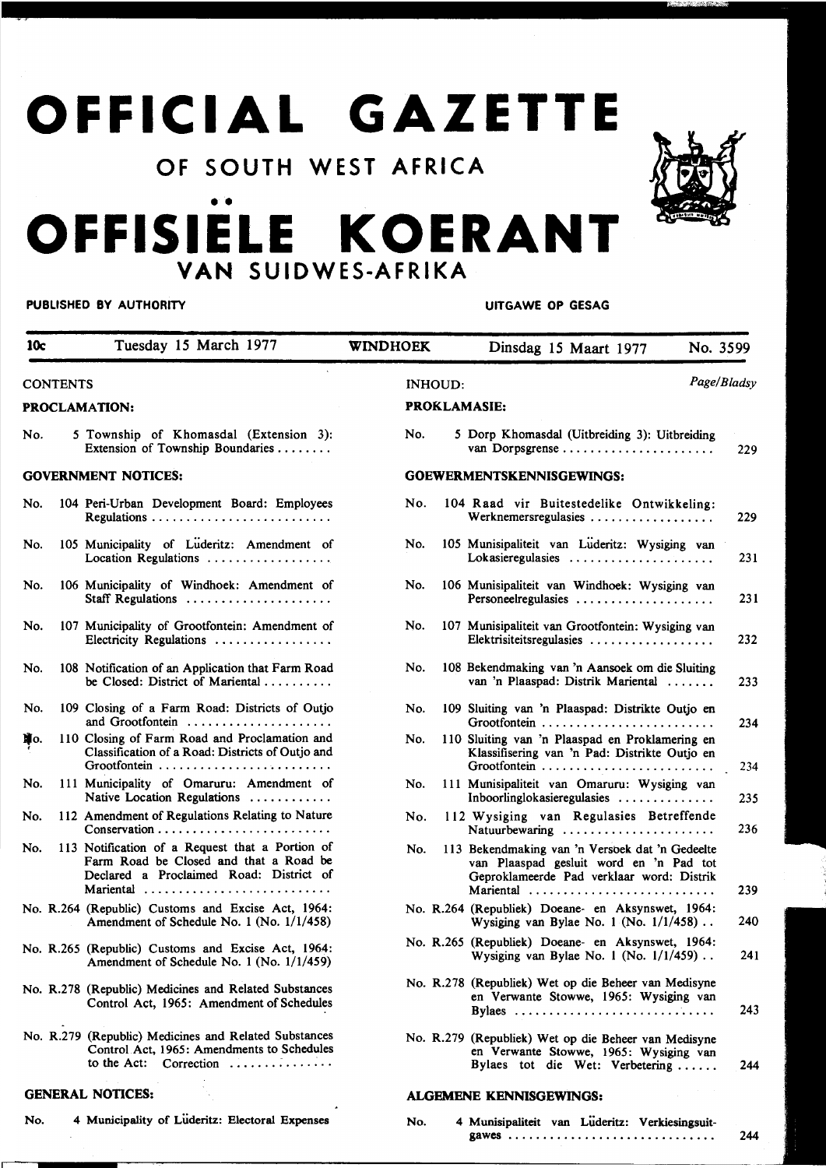# **OFFICIAL GAZETTE**

### **OF SOUTH WEST AFRICA**



## ••<br>— -**OFFISIELE KOERANT VAN SUIDWES-AFRIKA**

#### **PUBLISHED BY AUTHORITY WE CONSIDER A SET OF STATE OF SESAGRAPHIC STATES AND RESPONDENTLY**

| 10c             |  | Tuesday 15 March 1977                                                                                                                             | WINDHOEK                      |                     | Dinsdag 15 Maart 1977<br>No. 3599                                                                                                                    |     |  |
|-----------------|--|---------------------------------------------------------------------------------------------------------------------------------------------------|-------------------------------|---------------------|------------------------------------------------------------------------------------------------------------------------------------------------------|-----|--|
| <b>CONTENTS</b> |  |                                                                                                                                                   | Page/Bladsy<br><b>INHOUD:</b> |                     |                                                                                                                                                      |     |  |
|                 |  | <b>PROCLAMATION:</b>                                                                                                                              |                               | <b>PROKLAMASIE:</b> |                                                                                                                                                      |     |  |
| No.             |  | 5 Township of Khomasdal (Extension 3):<br>Extension of Township Boundaries                                                                        | No.                           |                     | 5 Dorp Khomasdal (Uitbreiding 3): Uitbreiding<br>van Dorpsgrense                                                                                     | 229 |  |
|                 |  | <b>GOVERNMENT NOTICES:</b>                                                                                                                        |                               |                     | GOEWERMENTSKENNISGEWINGS:                                                                                                                            |     |  |
| No.             |  | 104 Peri-Urban Development Board: Employees                                                                                                       | No.                           |                     | 104 Raad vir Buitestedelike Ontwikkeling:<br>Werknemersregulasies                                                                                    | 229 |  |
| No.             |  | 105 Municipality of Luderitz: Amendment of<br>Location Regulations                                                                                | No.                           |                     | 105 Munisipaliteit van Lüderitz: Wysiging van<br>Lokasieregulasies                                                                                   | 231 |  |
| No.             |  | 106 Municipality of Windhoek: Amendment of<br>Staff Regulations                                                                                   | No.                           |                     | 106 Munisipaliteit van Windhoek: Wysiging van<br>Personeelregulasies                                                                                 | 231 |  |
| No.             |  | 107 Municipality of Grootfontein: Amendment of<br>Electricity Regulations                                                                         | No.                           |                     | 107 Munisipaliteit van Grootfontein: Wysiging van<br>Elektrisiteitsregulasies                                                                        | 232 |  |
| No.             |  | 108 Notification of an Application that Farm Road<br>be Closed: District of Mariental                                                             | No.                           |                     | 108 Bekendmaking van 'n Aansoek om die Sluiting<br>van 'n Plaaspad: Distrik Mariental                                                                | 233 |  |
| No.             |  | 109 Closing of a Farm Road: Districts of Outjo<br>and Grootfontein                                                                                | No.                           |                     | 109 Sluiting van 'n Plaaspad: Distrikte Outjo en                                                                                                     | 234 |  |
| Ųю.             |  | 110 Closing of Farm Road and Proclamation and<br>Classification of a Road: Districts of Outjo and                                                 | No.                           |                     | 110 Sluiting van 'n Plaaspad en Proklamering en<br>Klassifisering van 'n Pad: Distrikte Outjo en                                                     | 234 |  |
| No.             |  | 111 Municipality of Omaruru: Amendment of<br>Native Location Regulations                                                                          | No.                           |                     | 111 Munisipaliteit van Omaruru: Wysiging van<br>Inboorlinglokasieregulasies                                                                          | 235 |  |
| No.             |  | 112 Amendment of Regulations Relating to Nature<br>$Conservation \dots \dots \dots \dots \dots \dots \dots \dots \dots$                           | No.                           |                     | 112 Wysiging van Regulasies Betreffende<br>Natuurbewaring                                                                                            | 236 |  |
| No.             |  | 113 Notification of a Request that a Portion of<br>Farm Road be Closed and that a Road be<br>Declared a Proclaimed Road: District of<br>Mariental | No.                           |                     | 113 Bekendmaking van 'n Versoek dat 'n Gedeelte<br>van Plaaspad gesluit word en 'n Pad tot<br>Geproklameerde Pad verklaar word: Distrik<br>Mariental | 239 |  |
|                 |  | No. R.264 (Republic) Customs and Excise Act, 1964:<br>Amendment of Schedule No. 1 (No. 1/1/458)                                                   |                               |                     | No. R.264 (Republiek) Doeane- en Aksynswet, 1964:<br>Wysiging van Bylae No. 1 (No. $1/1/458$ )                                                       | 240 |  |
|                 |  | No. R.265 (Republic) Customs and Excise Act, 1964:<br>Amendment of Schedule No. 1 (No. 1/1/459)                                                   |                               |                     | No. R.265 (Republiek) Doeane- en Aksynswet, 1964:<br>Wysiging van Bylae No. 1 (No. $1/1/459$ ).                                                      | 241 |  |
|                 |  | No. R.278 (Republic) Medicines and Related Substances<br>Control Act, 1965: Amendment of Schedules                                                |                               |                     | No. R.278 (Republiek) Wet op die Beheer van Medisyne<br>en Verwante Stowwe, 1965: Wysiging van<br>Bylaes                                             | 243 |  |
|                 |  | No. R.279 (Republic) Medicines and Related Substances<br>Control Act, 1965: Amendments to Schedules<br>to the Act: Correction                     |                               |                     | No. R.279 (Republiek) Wet op die Beheer van Medisyne<br>en Verwante Stowwe, 1965: Wysiging van<br>Bylaes tot die Wet: Verbetering                    | 244 |  |
|                 |  | <b>GENERAL NOTICES:</b>                                                                                                                           |                               |                     | <b>ALGEMENE KENNISGEWINGS:</b>                                                                                                                       |     |  |

No. 4 Municipality of Luderitz: Electoral Expenses

No. 4 Munisipaliteit van Luderitz: Verkiesingsuitgawes ............................. . 244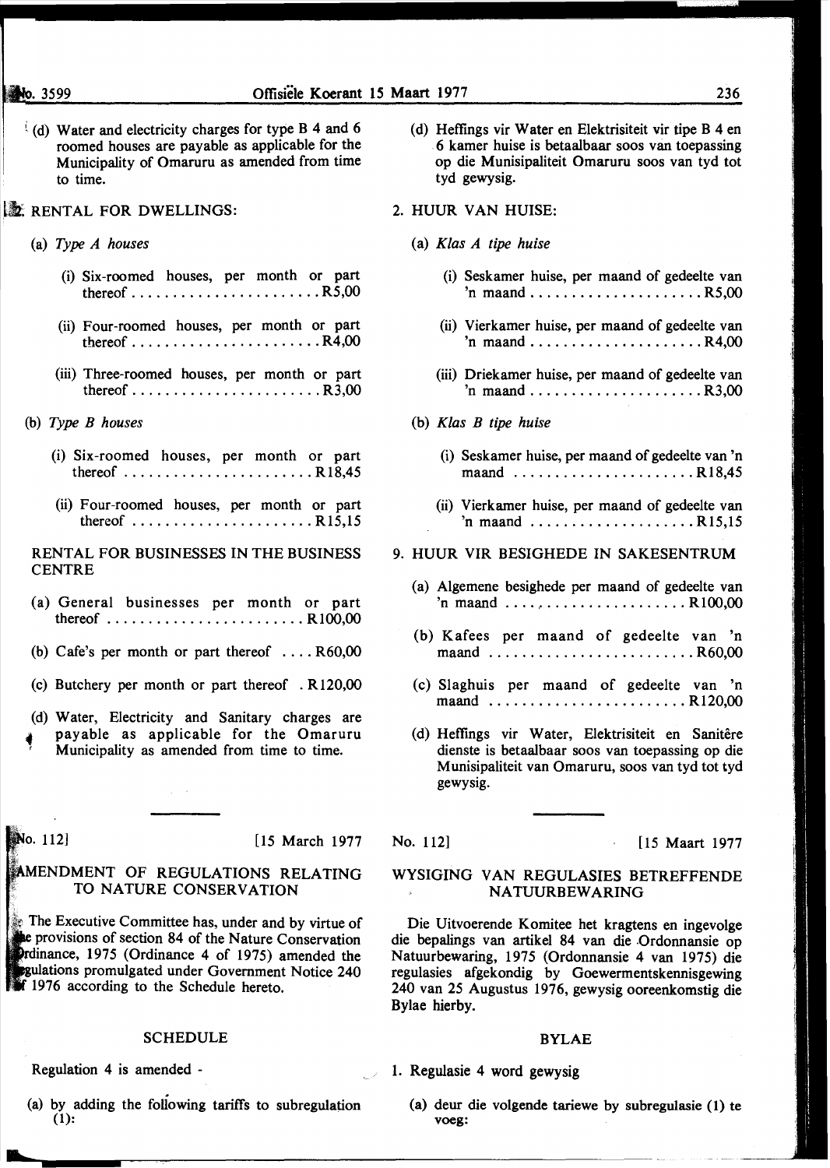- (d) Water and electricity charges for type B 4 and 6 roomed houses are payable as applicable for the Municipality of Omaruru as amended from time to time.
- **EX. RENTAL FOR DWELLINGS:** 
	- (a) *Type A houses* 
		- (i) Six-roomed houses, per month or part thereof  $\ldots \ldots \ldots \ldots \ldots \ldots$ . R5,00
		- (ii) Four-roomed houses, per month or part thereof ....................... R4,00
		- (iii) Three-roomed houses, per month or part thereof  $\ldots \ldots \ldots \ldots \ldots \ldots$ . R3,00
	- (b) *Type B houses* 
		- (i) Six-roomed houses, per month or part thereof ....................... R 18,45
		- (ii) Four-roomed houses, per month or part thereof ...................... R15,15

RENTAL FOR BUSINESSES IN THE BUSINESS **CENTRE** 

- (a) General businesses per month or part thereof ........................ R 100,00
- (b) Cafe's per month or part thereof  $\dots$  R60,00
- (c) Butchery per month or part thereof . R120,00
- (d) Water, Electricity and Sanitary charges are payable as applicable for the Omaruru ' Municipality as amended from time to time.

 $\mathcal{L}_{\rm{max}}$  ,  $\mathcal{L}_{\rm{max}}$ 

No. 112

[15 March 1977

#### MENDMENT OF REGULATIONS RELATING TO NATURE CONSERVATION

The Executive Committee has, under and by virtue of provisions of section 84 of the Nature Conservation Prdinance,  $1975$  (Ordinance 4 of 1975) amended the gulations promulgated under Government Notice 240 **1976** according to the Schedule hereto.

#### SCHEDULE

Regulation 4 is amended -

(a) by adding the following tariffs to subregulation (1):

- (d) Heffings vir Water en Elektrisiteit vir tipe B 4 en 6 kamer huise is betaalbaar soos van toepassing op die Munisipaliteit Omaruru soos van tyd tot tyd gewysig.
- 2. HUUR VAN HUlSE:
	- (a) *Klas A tipe huise* 
		- (i) Seskamer huise, per maand of gedeelte van  $'n$  maand  $\ldots \ldots \ldots \ldots \ldots \ldots$ . R5,00
		- (ii) Vierkamer huise, per maand of gedeelte van  $'n$  maand  $\ldots \ldots \ldots \ldots \ldots \ldots \ldots \ldots$  R4,00
		- (iii) Driekamer huise, per maand of gedeelte van  $\text{in }$  maand  $\ldots \ldots \ldots \ldots \ldots \ldots$ ..... R3,00
	- (b) *Klas B tipe huise* 
		- (i) Seskamer huise, per maand of gedeelte van 'n maand ......................... R18.45
		- (ii) Vierkamer huise, per maand of gedeelte van 'n maand .................... R15,15

#### 9. HUUR VIR BESIGHEDE IN SAKESENTRUM

- (a) Algemene besighede per maand of gedeelte van  $'n$  maand  $\ldots$ ,  $\ldots$ ,  $\ldots$ ,  $\ldots$ ,  $R100,00$
- (b) Kafees per maand of gedeelte van 'n maand ........................... R60,00
- (c) Slaghuis per maand of gedeelte van 'n maand ........................ R 120,00
- (d) Heffings vir Water, Elektrisiteit en Sanitêre dienste is betaalbaar soos van toepassing op die Munisipaliteit van Omaruru, soos van tyd tot tyd gewysig.

No. 112] **[15 Maart 1977** 

#### WYSIGING VAN REGULASIES BETREFFENDE **NATUURBEWARING**

Die Uitvoerende Komitee bet kragtens en ingevolge die bepalings van artikel 84 van die Ordonnansie op Natuurbewaring, 1975 (Ordonnansie 4 van 1975) die regulasies afgekondig by Goewermentskennisgewing 240 van 25 Augustus 1976, gewysig ooreenkomstig die Bylae hierby.

#### BYLAE

1. Regulasie 4 word gewysig

(a) deur die volgende tariewe by subregulasie (1) te voeg: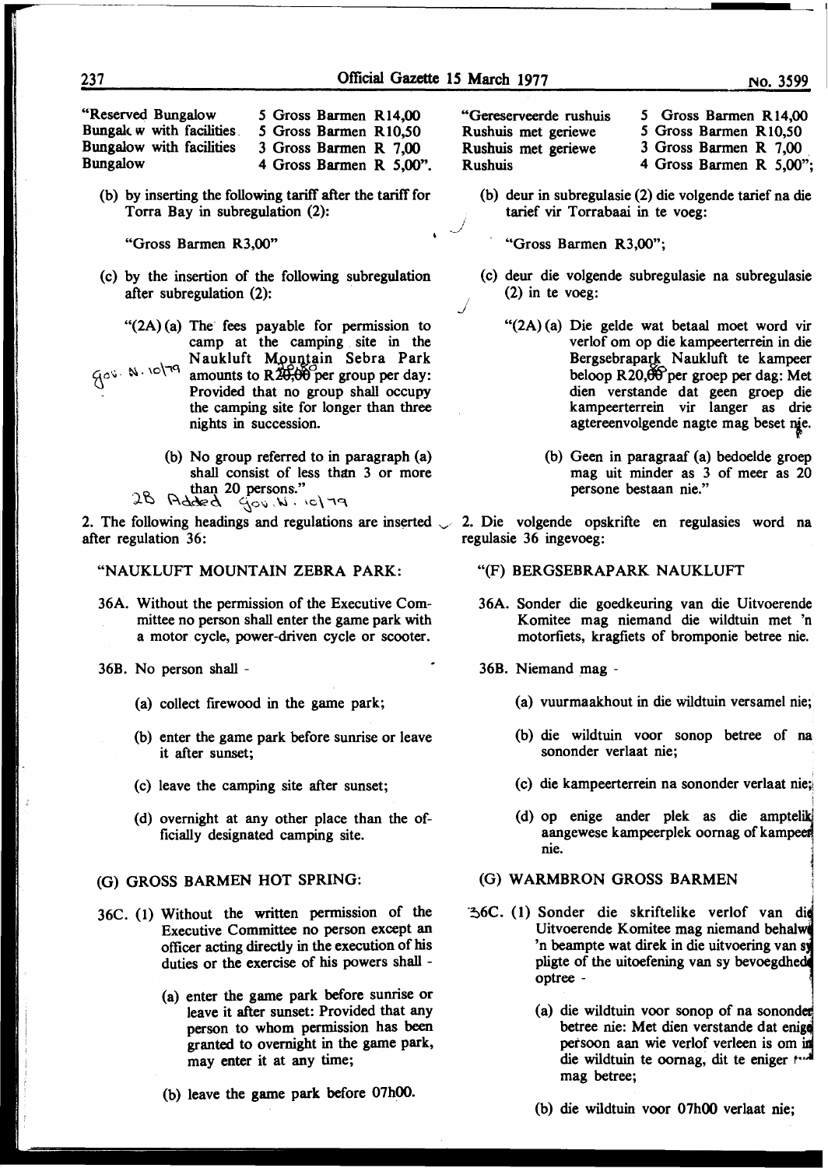J

''Reserved Bungalow Bungalc w with facilities Bungalow with facilities Bungalow

*5* Gross Barmen Rl4,00 *5* Gross Barmen R 10,50

3 Gross Barmen R 7,00

4 Gross Barmen R 5,00".

(b) by inserting the following tariff after the tariff for Torra Bay in subregulation (2):

''Gross Barmen R3,00"

- (c) by the insertion of the following subregulation after subregulation (2):
	- $"({2A})(a)$  The fees payable for permission to camp at the camping site in the Naukluft Mountain Sebra Park

 ${\cal L}^{\circ}$   $\sim$   $\sim$   $\sim$   $\sim$   $\sim$   $\sim$   $\sim$  amounts to R20,00 per group per day: Provided that no group shall occupy the camping site for longer than three nights in succession.

- (b) No group referred to in paragraph (a) shall consist of less than 3 or more
- than 20 persons."<br>28 Added  $\frac{4}{300}$ , N.  $\cdot$  IC\ 79

2. The following headings and regulations are inserted  $\sim$  2. Die volgende opskrifte en regulasies word na after regulation 36:

"NAUKLUFT MOUNTAIN ZEBRA PARK:

- 36A. Without the permission of the Executive Committee no person shall enter the game park with a motor cycle, power-driven cycle or scooter.
- 36B. No person shall
	- (a) collect firewood in the game park;
	- (b) enter the game park before sunrise or leave it after sunset;
	- (c) leave the camping site after sunset;
	- (d) overnight at any other place than the officially designated camping site.

#### (G) GROSS BARMEN HOT SPRING:

- 36C. (1) Without the written permission of the Executive Committee no person except an officer acting directly in the execution of his duties or the exercise of his powers shall -
	- (a) enter the game park before sunrise or leave it after sunset: Provided that any person to whom permission has been granted to overnight in the game park, may enter it at any time;
	- (b) leave the game park before 07h00.

''Gereserveerde rushuis Rushuis met geriewe Rushuis met geriewe Rushuis

*5* Gross Barmen Rl4,00 *5* Gross Barmen R 10,50

3 Gross Barmen R 7,00 .

4 Gross Barmen R 5,00";

(b) deur in subregulasie (2) die volgende tarief na die tarief vir Torrabaai in te voeg:

· "Gross Barmen R3,00";

- (c) deur die volgende subregulasie na subregulasie (2) in te voeg:
	- "(2A) (a) Die gelde wat betaal moet word vir verlof om op die kampeerterrein in die Bergsebrapark Naukluft te kampeer beloop R20,00 per groep per dag: Met dien verstande dat geen groep die kampeerterrein vir langer as drie agtereenvolgende nagte mag beset nie.
		- (b) Geen in paragraaf (a) bedoelde groep mag uit minder as 3 of meer as 20 persone bestaan nie."

regulasie 36 ingevoeg:

- "(F) BERGSEBRAPARK NAUKLUFT
- 36A. Sonder die goedkeuring van die Komitee mag niemand die wildtuin met 'n motorfiets, kragfiets of bromponie betree nie.
- 36B. Niemand mag
	- (a) vuurmaakhout in die wildtuin versamel nie;
	- (b) die wildtuin voor sonop betree of sononder verlaat nie;
	- (c) die kampeerterrein na sononder verlaat
	- (d) op enige ander plek as die aangewese kampeerplek oornag of kampeer nie.

#### (G) WARMBRON GROSS BARMEN

- 36C. (1) Sonder die skriftelike verlof van die Uitvoerende Komitee mag niemand behalwe<br>'n beampte wat direk in die uitvoering van sy pligte of the uitoefening van sy bevoegdhed optree -
	- (a) die wildtuin voor sonop of na sononder betree nie: Met dien verstande dat enige petsoon aan wie verlof verleen is om die wildtuin te oornag, dit te eniger twi mag betree;
	- (b) die wildtuin voor 07h00 verlaat nie;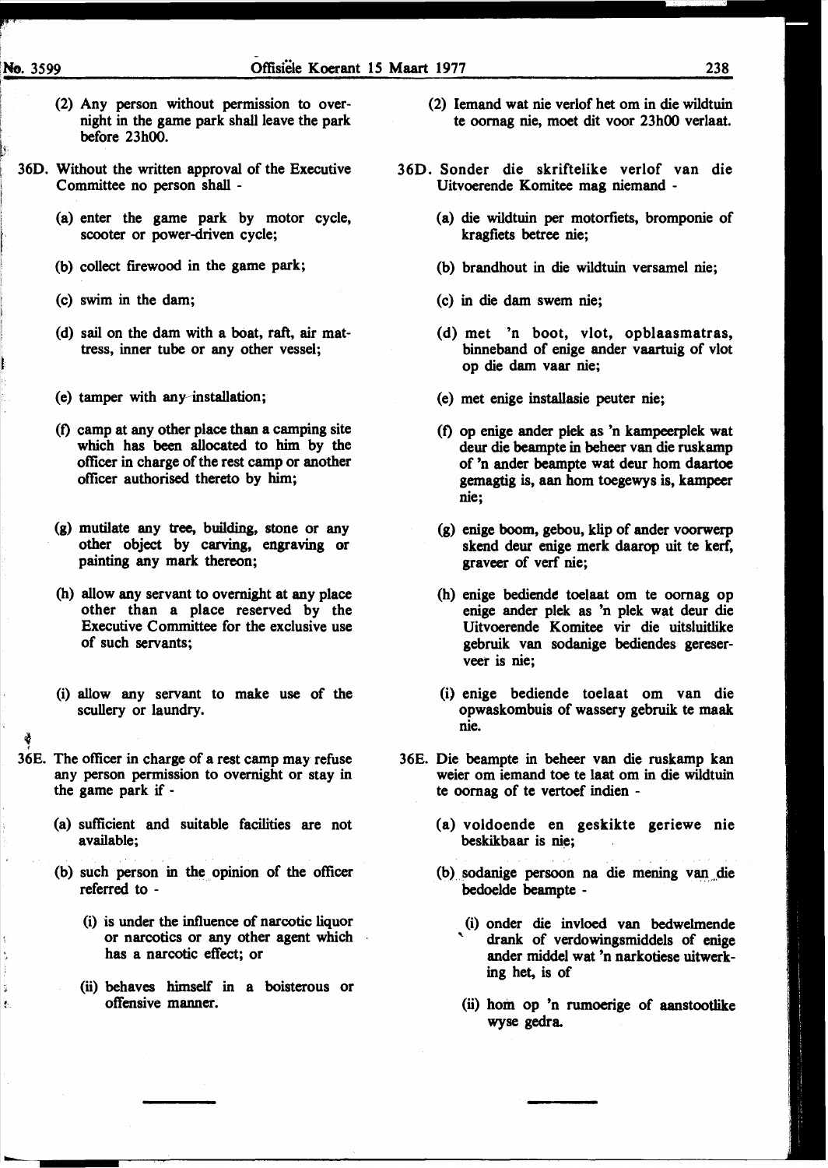- (2) Any person without permission to overnight in the game park shall leave the park before 23h00.
- 360. Without the written approval of the Executive Committee no person shall -
	- (a) enter the game park by motor cycle, scooter or power-driven cycle;
	- (b) collect firewood in the game park;
	- (c) swim in the dam;
	- (d) sail on the dam with a bOat, raft, air mattress, inner tube or any other vessel;
	- (e) tamper with any~installation;
	- (t) camp at any other place than a camping site which has been allocated to him by the officer in charge of the rest camp or another officer authorised thereto by him;
	- (g) mutilate any tree, building, stone or any other object by carving, engraving or painting any mark thereon;
	- (h) allow any servant to overnight at any place other than a place reserved by the Executive Committee for the exclusive use of such servants;
	- (i) allow any servant to make use of the scullery or laundry.
- <sup>~</sup>{

÷.

- 36E. The officer in charge of a rest camp may refuse any person permission to overnight or stay in the game park if-
	- (a) sufficient and suitable facilities are not available;
	- (b) such person in the opinion of the officer referred to -
		- (i) is under the influence of narcotic liquor or narcotics or any other agent which has a narcotic effect; or
		- (ii) behaves himself in a boisterous or offensive manner.
- (2) Iemand wat nie verlof bet om in die wildtuin te oomag nie, moet dit voor 23h00 verlaat.
- 360. Sonder die skriftelike verlof van die Uitvoerende Komitee mag niemand -
	- (a) die wildtuin per motorfiets, bromponie of kragfiets betree nie;
	- (b) brandhout in die wildtuin versamel nie;
	- (c) in die dam swem nie;
	- (d) met 'n boot, vlot, opblaasmatras, binneband of enige ander vaartuig of vlot op die dam vaar nie;
	- (e) met enige installasie peuter nie;
	- (t) op enige ander plek as 'n kampeerplek wat deur die beampte in beheer van die ruskamp of 'n ander beampte wat deur hom daartoe gemagtig is, aan hom toegewys is, kampeer nie;
	- (g) enige boom, gebou, klip of ander voorwerp skend deur enige merk daarop uit te kerf, graveer of verf nie;
	- (h) enige bediende toelaat om te oomag op enige ander plek as 'n plek wat deur die Uitvoerende Komitee vir die uitsluitlike gebruik van sodanige bediendes gereserveer is nie;
	- (i) enige bediende toelaat om van die opwaskombuis of wassery gebruik te maak nie.
- 36E. Die beampte in beheer van die ruskamp kan weier om iemand toe te laat om in die wildtuin te oomag of te vertoef indien -
	- (a) voldoende en geskikte geriewe nie beskikbaar is nie;
	- (b) sodanige persoon na die mening van die bedoelde beampte -
		- (i) onder die invloed van bedwelmende drank of verdowingsmiddels of enige ander middel wat 'n narkotiese uitwerking bet, is of
		- (ii) hom op 'n rumoerige of aanstootlike wyse gedra.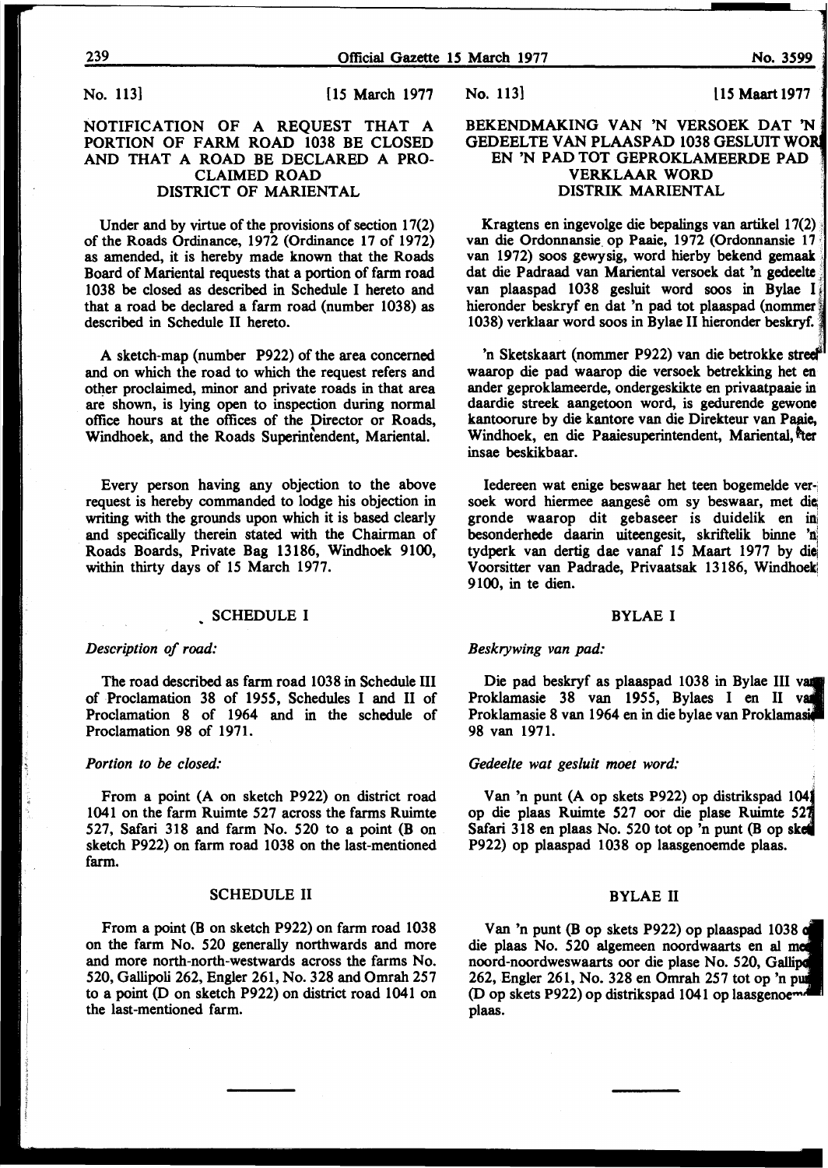No. 113] [15 March 1977]

#### NOTIFICATION OF A REQUEST THAT A PORTION OF FARM ROAD 1038 BE CLOSED AND THAT A ROAD BE DECLARED A PRO-CLAIMED ROAD DISTRICT OF MARIENTAL

Under and by virtue of the provisions of section 17(2) of the Roads Ordinance, 1972 (Ordinance 17 of 1972) as amended, it is hereby made known that the Roads Board of Mariental requests that a portion of farm road 1038 be closed as described in Schedule I hereto and that a road be declared a farm road (number 1038) as described in Schedule II hereto.

A sketch-map (number P922) of the area concerned and on which the road to which the request refers and other proclaimed, minor and private roads in that area are shown, is lying open to inspection during normal office hours at the offices of the Director or Roads, Windhoek, and the Roads Superintendent, Mariental.

Every person having any objection to the above request is hereby commanded to lodge his objection in writing with the grounds upon which it is based clearly and specifically therein stated with the Chairman of Roads Boards, Private Bag 13186, Windhoek 9100, within thirty days of 15 March 1977.

#### SCHEDULE I

#### *Description of road:*

The road described as farm road 1038 in Schedule III of Proclamation 38 of 1955, Schedules I and II of Proclamation 8 of 1964 and in the schedule of Proclamation 98 of 1971.

#### *Portion to be closed:*

From a point (A on sketch P922) on district road 1041 on the farm Ruimte 527 across the farms Ruimte 527, Safari 318 and farm No. 520 to a point (B on sketch P922) on farm road 1038 on the last-mentioned farm.

#### SCHEDULE II

From a point (B on sketch P922) on farm road 1038 on the farm No. 520 generally northwards and more and more north-north-westwards across the farms No. 520, Gallipoli 262, Engler 261, No. 328 and Omrah 257 to a point (D on sketch P922) on district road 1041 on the last-mentioned farm.

No. 113} Ll *5* Maart 1977

#### BEKENDMAKING VAN 'N VERSOEK DAT 'N GEDEELTE VAN PLAASPAD 1038 GESLUIT EN 'N PAD TOT GEPROKLAMEERDE PAD VERKLAAR WORD DISTRIK MARIENTAL

Kragtens en ingevo1ge die bepalings van artikel 17(2) van die Ordonnansie. op Paaie, 1972 (Ordonnansie 17 van 1972) soos gewysig, word hierby bekend gemaak dat die Padraad van Mariental versoek dat 'n gedeelte van plaaspad 1038 gesluit word soos in Bylae I hieronder beskryf en dat 'n pad tot plaaspad (nommer 1038) verklaar word soos in Bylae II hieronder beskryf. ·

'n Sketskaart (nommer P922) van die betrokke waarop die pad waarop die versoek betrekking het en ander geproklameerde, ondergeskikte en privaatpaaie in daardie streek aangetoon word, is gedurende gewone kantoorure by die kantore van die Direkteur van Paaie, Windhoek, en die Paaiesuperintendent, Mariental, ter insae beskikbaar.

Iedereen wat enige beswaar het teen bogemelde versoek word hiermee aangesê om sy beswaar, met die gronde waarop dit gebaseer is duidelik en besonderhede daarin uiteengesit, skriftelik binne tydperk van dertig dae vanaf 15 Maart 1977 by Voorsitter van Padrade, Privaatsak 13186, Windhoek 9100, in te dien.

#### BYLAE I

#### *Beskrywing van pad:*

Die pad beskryf as plaaspad 1038 in Bylae III Proklamasie 38 van 1955, Bylaes I en II Proklamasie 8 van 1964 en in die bylae van 98 van 1971.

#### *Gedeelte wat gesluit moet word:*

Van 'n punt (A op skets P922) op distrikspad op die plaas Ruimte 527 oor die plase Ruimte Safari 318 en plaas No. 520 tot op 'n punt (B op skel P922) op plaaspad 1038 op laasgenoemde plaas.

#### BYLAE II

Van 'n punt (B op skets P922) op plaaspad 1038 die plaas No. 520 algemeen noordwaarts en al noord-noordweswaarts oor die plase No. 520, Gallipe 262, Engler 261, No. 328 en Omrah 257 tot op 'n (D op skets P922) op distrikspad 1041 op laasgenoemd plaas.